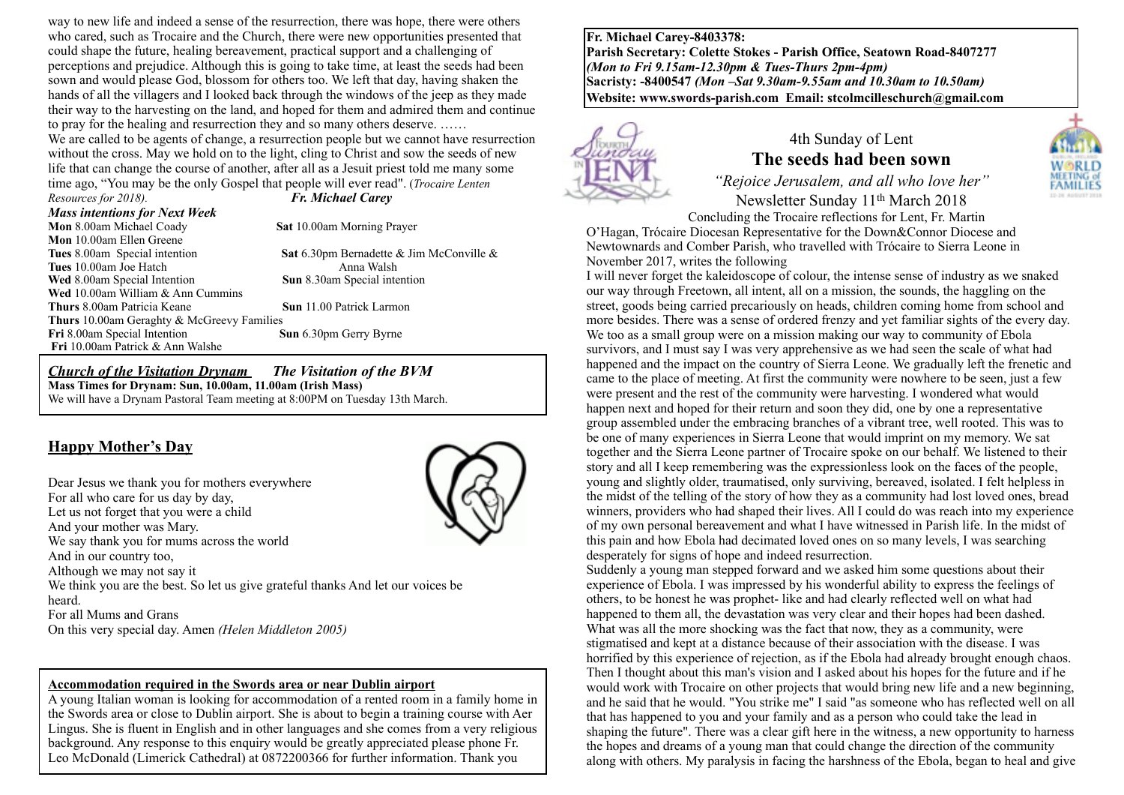way to new life and indeed a sense of the resurrection, there was hope, there were others who cared, such as Trocaire and the Church, there were new opportunities presented that could shape the future, healing bereavement, practical support and a challenging of perceptions and prejudice. Although this is going to take time, at least the seeds had been sown and would please God, blossom for others too. We left that day, having shaken the hands of all the villagers and I looked back through the windows of the jeep as they made their way to the harvesting on the land, and hoped for them and admired them and continue to pray for the healing and resurrection they and so many others deserve. ……

We are called to be agents of change, a resurrection people but we cannot have resurrection without the cross. May we hold on to the light, cling to Christ and sow the seeds of new life that can change the course of another, after all as a Jesuit priest told me many some time ago, "You may be the only Gospel that people will ever read". (*Trocaire Lenten* 

*Resources for 2018). Fr. Michael Carey*

*Mass intentions for Next Week* 

**Mon** 10.00am Ellen Greene

**Sat** 10.00am Morning Prayer

**Tues** 8.00am Special intention **Sat** 6.30pm Bernadette & Jim McConville & **Tues** 10.00am Joe Hatch Anna Walsh

**Wed** 8.00am Special Intention **Sun** 8.30am Special intention **Wed** 10.00am William & Ann Cummins **Thurs** 8.00am Patricia Keane **Sun** 11.00 Patrick Larmon **Thurs** 10.00am Geraghty & McGreevy Families<br> **Fri** 8.00am Special Intention<br> **Sun** 6.30pm Gerry Byrne **Fri** 8.00am Special Intention **Fri** 10.00am Patrick & Ann Walshe

#### *Church of the Visitation Drynam**The Visitation of the BVM* **Mass Times for Drynam: Sun, 10.00am, 11.00am (Irish Mass)** We will have a Drynam Pastoral Team meeting at 8:00PM on Tuesday 13th March.

## **Happy Mother's Day**

Dear Jesus we thank you for mothers everywhere For all who care for us day by day, Let us not forget that you were a child And your mother was Mary. We say thank you for mums across the world And in our country too, Although we may not say it We think you are the best. So let us give grateful thanks And let our voices be heard. For all Mums and Grans On this very special day. Amen *(Helen Middleton 2005)*



A young Italian woman is looking for accommodation of a rented room in a family home in the Swords area or close to Dublin airport. She is about to begin a training course with Aer Lingus. She is fluent in English and in other languages and she comes from a very religious background. Any response to this enquiry would be greatly appreciated please phone Fr. Leo McDonald (Limerick Cathedral) at 0872200366 for further information. Thank you

**Fr. Michael Carey-8403378: Parish Secretary: Colette Stokes - Parish Office, Seatown Road-8407277**  *(Mon to Fri 9.15am-12.30pm & Tues-Thurs 2pm-4pm)*  **Sacristy: -8400547** *(Mon –Sat 9.30am-9.55am and 10.30am to 10.50am)* **Website: [www.swords-parish.com Email:](http://www.swords-parish.com%20%20email) stcolmcilleschurch@gmail.com**



## 4th Sunday of Lent **The seeds had been sown**

*"Rejoice Jerusalem, and all who love her"*  Newsletter Sunday 11th March 2018

Concluding the Trocaire reflections for Lent, Fr. Martin O'Hagan, Trócaire Diocesan Representative for the Down&Connor Diocese and Newtownards and Comber Parish, who travelled with Trócaire to Sierra Leone in November 2017, writes the following

I will never forget the kaleidoscope of colour, the intense sense of industry as we snaked our way through Freetown, all intent, all on a mission, the sounds, the haggling on the street, goods being carried precariously on heads, children coming home from school and more besides. There was a sense of ordered frenzy and yet familiar sights of the every day. We too as a small group were on a mission making our way to community of Ebola survivors, and I must say I was very apprehensive as we had seen the scale of what had happened and the impact on the country of Sierra Leone. We gradually left the frenetic and came to the place of meeting. At first the community were nowhere to be seen, just a few were present and the rest of the community were harvesting. I wondered what would happen next and hoped for their return and soon they did, one by one a representative group assembled under the embracing branches of a vibrant tree, well rooted. This was to be one of many experiences in Sierra Leone that would imprint on my memory. We sat together and the Sierra Leone partner of Trocaire spoke on our behalf. We listened to their story and all I keep remembering was the expressionless look on the faces of the people, young and slightly older, traumatised, only surviving, bereaved, isolated. I felt helpless in the midst of the telling of the story of how they as a community had lost loved ones, bread winners, providers who had shaped their lives. All I could do was reach into my experience of my own personal bereavement and what I have witnessed in Parish life. In the midst of this pain and how Ebola had decimated loved ones on so many levels, I was searching desperately for signs of hope and indeed resurrection.

Suddenly a young man stepped forward and we asked him some questions about their experience of Ebola. I was impressed by his wonderful ability to express the feelings of others, to be honest he was prophet- like and had clearly reflected well on what had happened to them all, the devastation was very clear and their hopes had been dashed. What was all the more shocking was the fact that now, they as a community, were stigmatised and kept at a distance because of their association with the disease. I was horrified by this experience of rejection, as if the Ebola had already brought enough chaos. Then I thought about this man's vision and I asked about his hopes for the future and if he would work with Trocaire on other projects that would bring new life and a new beginning, and he said that he would. "You strike me" I said "as someone who has reflected well on all that has happened to you and your family and as a person who could take the lead in shaping the future". There was a clear gift here in the witness, a new opportunity to harness the hopes and dreams of a young man that could change the direction of the community along with others. My paralysis in facing the harshness of the Ebola, began to heal and give